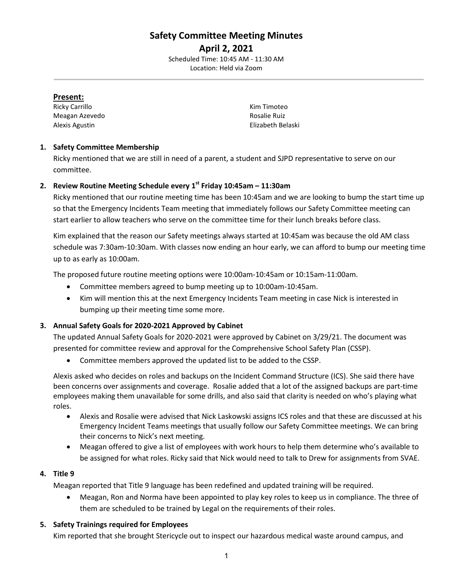# **Safety Committee Meeting Minutes**

**April 2, 2021** Scheduled Time: 10:45 AM - 11:30 AM Location: Held via Zoom

#### **Present:**

Ricky Carrillo **Kim Timoteo** Kim Timoteo Meagan Azevedo **Rosalie Ruiz Rosalie Ruiz** Alexis Agustin Elizabeth Belaski

## **1. Safety Committee Membership**

Ricky mentioned that we are still in need of a parent, a student and SJPD representative to serve on our committee.

# **2. Review Routine Meeting Schedule every 1st Friday 10:45am – 11:30am**

Ricky mentioned that our routine meeting time has been 10:45am and we are looking to bump the start time up so that the Emergency Incidents Team meeting that immediately follows our Safety Committee meeting can start earlier to allow teachers who serve on the committee time for their lunch breaks before class.

Kim explained that the reason our Safety meetings always started at 10:45am was because the old AM class schedule was 7:30am-10:30am. With classes now ending an hour early, we can afford to bump our meeting time up to as early as 10:00am.

The proposed future routine meeting options were 10:00am-10:45am or 10:15am-11:00am.

- Committee members agreed to bump meeting up to 10:00am-10:45am.
- Kim will mention this at the next Emergency Incidents Team meeting in case Nick is interested in bumping up their meeting time some more.

# **3. Annual Safety Goals for 2020-2021 Approved by Cabinet**

The updated Annual Safety Goals for 2020-2021 were approved by Cabinet on 3/29/21. The document was presented for committee review and approval for the Comprehensive School Safety Plan (CSSP).

• Committee members approved the updated list to be added to the CSSP.

Alexis asked who decides on roles and backups on the Incident Command Structure (ICS). She said there have been concerns over assignments and coverage. Rosalie added that a lot of the assigned backups are part-time employees making them unavailable for some drills, and also said that clarity is needed on who's playing what roles.

- Alexis and Rosalie were advised that Nick Laskowski assigns ICS roles and that these are discussed at his Emergency Incident Teams meetings that usually follow our Safety Committee meetings. We can bring their concerns to Nick's next meeting.
- Meagan offered to give a list of employees with work hours to help them determine who's available to be assigned for what roles. Ricky said that Nick would need to talk to Drew for assignments from SVAE.

#### **4. Title 9**

Meagan reported that Title 9 language has been redefined and updated training will be required.

• Meagan, Ron and Norma have been appointed to play key roles to keep us in compliance. The three of them are scheduled to be trained by Legal on the requirements of their roles.

#### **5. Safety Trainings required for Employees**

Kim reported that she brought Stericycle out to inspect our hazardous medical waste around campus, and